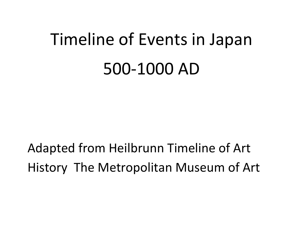# Timeline of Events in Japan 500-1000 AD

Adapted from Heilbrunn Timeline of Art History The Metropolitan Museum of Art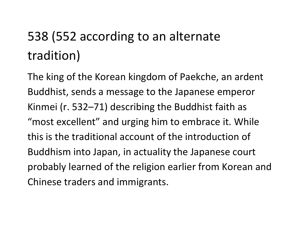# 538 (552 according to an alternate tradition)

The king of the Korean kingdom of Paekche, an ardent Buddhist, sends a message to the Japanese emperor Kinmei (r. 532–71) describing the Buddhist faith as "most excellent" and urging him to embrace it. While this is the traditional account of the introduction of Buddhism into Japan, in actuality the Japanese court probably learned of the religion earlier from Korean and Chinese traders and immigrants.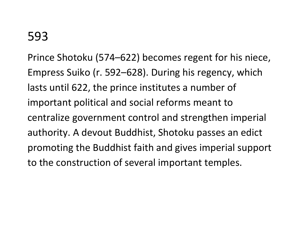Prince Shotoku (574–622) becomes regent for his niece, Empress Suiko (r. 592–628). During his regency, which lasts until 622, the prince institutes a number of important political and social reforms meant to centralize government control and strengthen imperial authority. A devout Buddhist, Shotoku passes an edict promoting the Buddhist faith and gives imperial support to the construction of several important temples.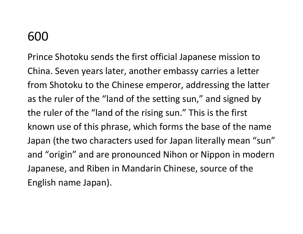Prince Shotoku sends the first official Japanese mission to China. Seven years later, another embassy carries a letter from Shotoku to the Chinese emperor, addressing the latter as the ruler of the "land of the setting sun," and signed by the ruler of the "land of the rising sun." This is the first known use of this phrase, which forms the base of the name Japan (the two characters used for Japan literally mean "sun" and "origin" and are pronounced Nihon or Nippon in modern Japanese, and Riben in Mandarin Chinese, source of the English name Japan).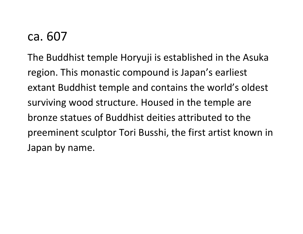### ca. 607

The Buddhist temple Horyuji is established in the Asuka region. This monastic compound is Japan's earliest extant Buddhist temple and contains the world's oldest surviving wood structure. Housed in the temple are bronze statues of Buddhist deities attributed to the preeminent sculptor Tori Busshi, the first artist known in Japan by name.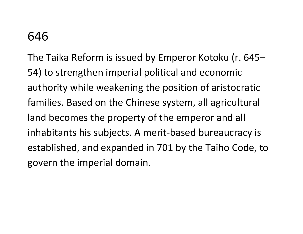The Taika Reform is issued by Emperor Kotoku (r. 645– 54) to strengthen imperial political and economic authority while weakening the position of aristocratic families. Based on the Chinese system, all agricultural land becomes the property of the emperor and all inhabitants his subjects. A merit-based bureaucracy is established, and expanded in 701 by the Taiho Code, to govern the imperial domain.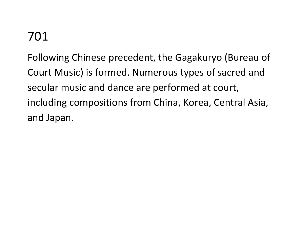Following Chinese precedent, the Gagakuryo (Bureau of Court Music) is formed. Numerous types of sacred and secular music and dance are performed at court, including compositions from China, Korea, Central Asia, and Japan.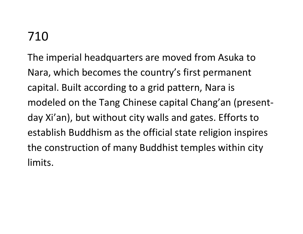The imperial headquarters are moved from Asuka to Nara, which becomes the country's first permanent capital. Built according to a grid pattern, Nara is modeled on the Tang Chinese capital Chang'an (presentday Xi'an), but without city walls and gates. Efforts to establish Buddhism as the official state religion inspires the construction of many Buddhist temples within city limits.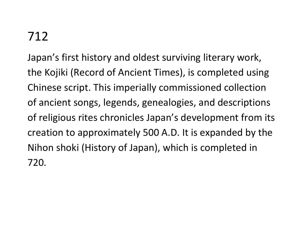Japan's first history and oldest surviving literary work, the Kojiki (Record of Ancient Times), is completed using Chinese script. This imperially commissioned collection of ancient songs, legends, genealogies, and descriptions of religious rites chronicles Japan's development from its creation to approximately 500 A.D. It is expanded by the Nihon shoki (History of Japan), which is completed in 720.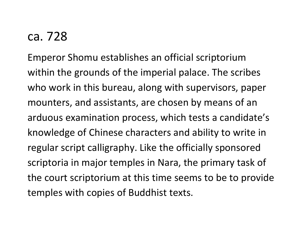### ca. 728

Emperor Shomu establishes an official scriptorium within the grounds of the imperial palace. The scribes who work in this bureau, along with supervisors, paper mounters, and assistants, are chosen by means of an arduous examination process, which tests a candidate's knowledge of Chinese characters and ability to write in regular script calligraphy. Like the officially sponsored scriptoria in major temples in Nara, the primary task of the court scriptorium at this time seems to be to provide temples with copies of Buddhist texts.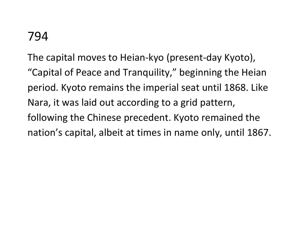The capital moves to Heian-kyo (present-day Kyoto), "Capital of Peace and Tranquility," beginning the Heian period. Kyoto remains the imperial seat until 1868. Like Nara, it was laid out according to a grid pattern, following the Chinese precedent. Kyoto remained the nation's capital, albeit at times in name only, until 1867.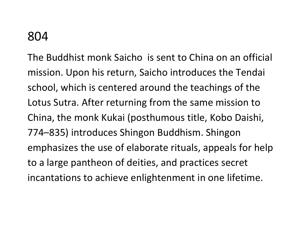The Buddhist monk Saicho is sent to China on an official mission. Upon his return, Saicho introduces the Tendai school, which is centered around the teachings of the Lotus Sutra. After returning from the same mission to China, the monk Kukai (posthumous title, Kobo Daishi, 774–835) introduces Shingon Buddhism. Shingon emphasizes the use of elaborate rituals, appeals for help to a large pantheon of deities, and practices secret incantations to achieve enlightenment in one lifetime.